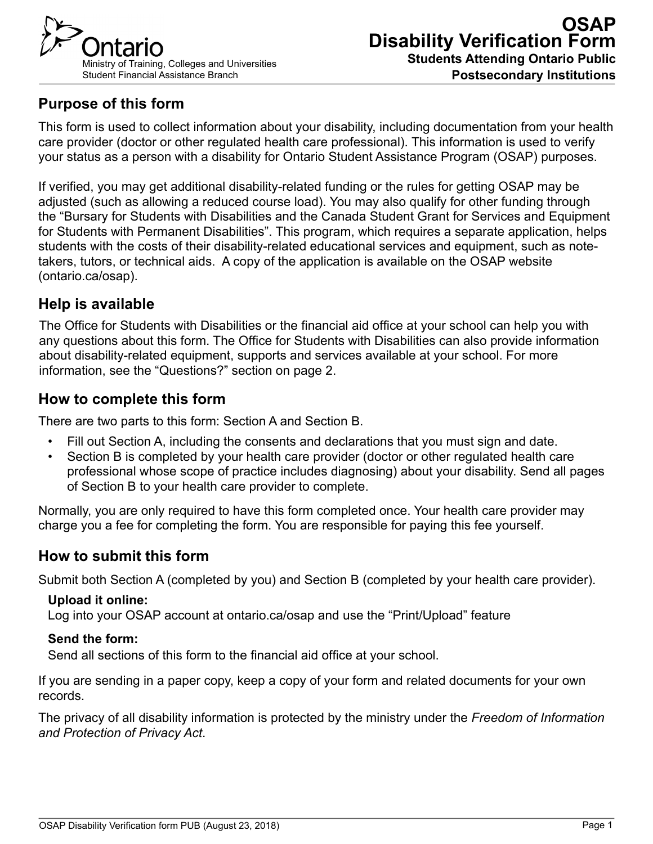

# **Purpose of this form**

This form is used to collect information about your disability, including documentation from your health care provider (doctor or other regulated health care professional). This information is used to verify your status as a person with a disability for Ontario Student Assistance Program (OSAP) purposes.

If verified, you may get additional disability-related funding or the rules for getting OSAP may be adjusted (such as allowing a reduced course load). You may also qualify for other funding through the "Bursary for Students with Disabilities and the Canada Student Grant for Services and Equipment for Students with Permanent Disabilities". This program, which requires a separate application, helps students with the costs of their disability-related educational services and equipment, such as notetakers, tutors, or technical aids. A copy of the application is available on the OSAP website (ontario.ca/osap).

# **Help is available**

The Office for Students with Disabilities or the financial aid office at your school can help you with any questions about this form. The Office for Students with Disabilities can also provide information about disability-related equipment, supports and services available at your school. For more information, see the "Questions?" section on page 2.

## **How to complete this form**

There are two parts to this form: Section A and Section B.

- Fill out Section A, including the consents and declarations that you must sign and date.
- Section B is completed by your health care provider (doctor or other regulated health care professional whose scope of practice includes diagnosing) about your disability. Send all pages of Section B to your health care provider to complete.

Normally, you are only required to have this form completed once. Your health care provider may charge you a fee for completing the form. You are responsible for paying this fee yourself.

## **How to submit this form**

Submit both Section A (completed by you) and Section B (completed by your health care provider).

#### **Upload it online:**

Log into your OSAP account at ontario.ca/osap and use the "Print/Upload" feature

#### **Send the form:**

Send all sections of this form to the financial aid office at your school.

If you are sending in a paper copy, keep a copy of your form and related documents for your own records.

The privacy of all disability information is protected by the ministry under the *Freedom of Information and Protection of Privacy Act*.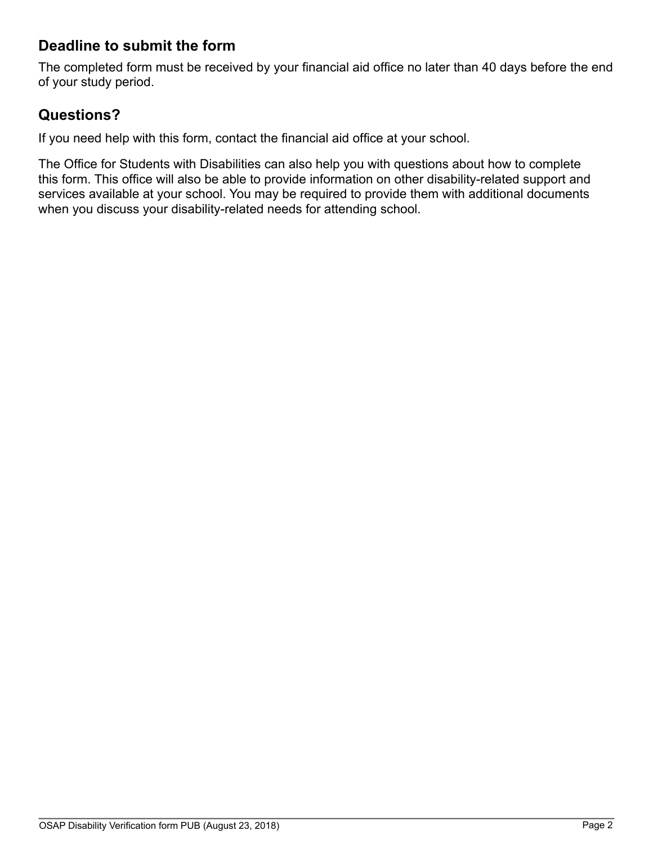# **Deadline to submit the form**

The completed form must be received by your financial aid office no later than 40 days before the end of your study period.

## **Questions?**

If you need help with this form, contact the financial aid office at your school.

The Office for Students with Disabilities can also help you with questions about how to complete this form. This office will also be able to provide information on other disability-related support and services available at your school. You may be required to provide them with additional documents when you discuss your disability-related needs for attending school.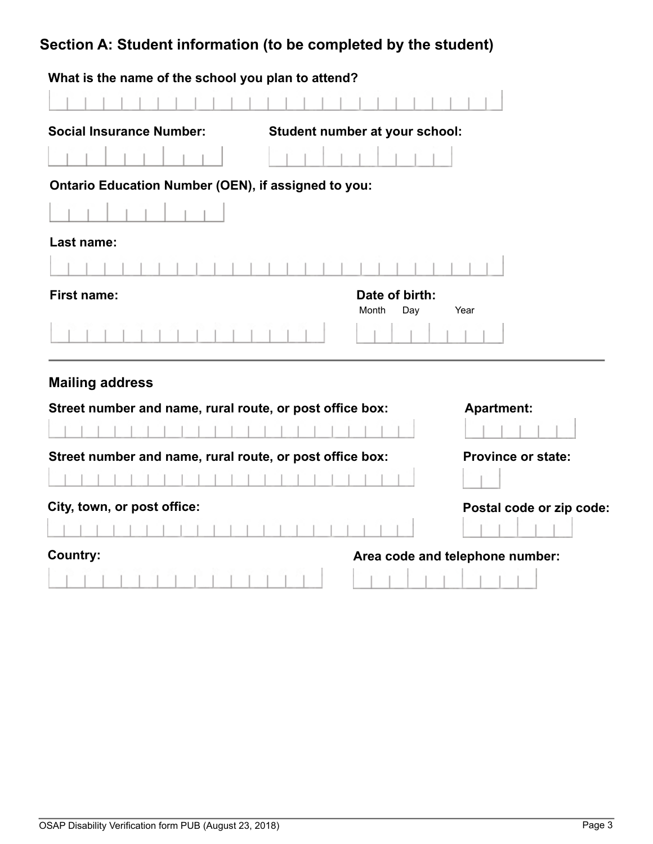# **Section A: Student information (to be completed by the student)**

| What is the name of the school you plan to attend?       |                                |                                 |
|----------------------------------------------------------|--------------------------------|---------------------------------|
|                                                          |                                |                                 |
| <b>Social Insurance Number:</b>                          | Student number at your school: |                                 |
|                                                          |                                |                                 |
| Ontario Education Number (OEN), if assigned to you:      |                                |                                 |
|                                                          |                                |                                 |
| Last name:                                               |                                |                                 |
|                                                          |                                |                                 |
| <b>First name:</b>                                       | Date of birth:<br>Month<br>Day | Year                            |
|                                                          |                                |                                 |
| <b>Mailing address</b>                                   |                                |                                 |
| Street number and name, rural route, or post office box: |                                | <b>Apartment:</b>               |
|                                                          |                                |                                 |
| Street number and name, rural route, or post office box: |                                | <b>Province or state:</b>       |
|                                                          |                                |                                 |
| City, town, or post office:                              |                                | Postal code or zip code:        |
|                                                          |                                |                                 |
| <b>Country:</b>                                          |                                | Area code and telephone number: |
|                                                          |                                |                                 |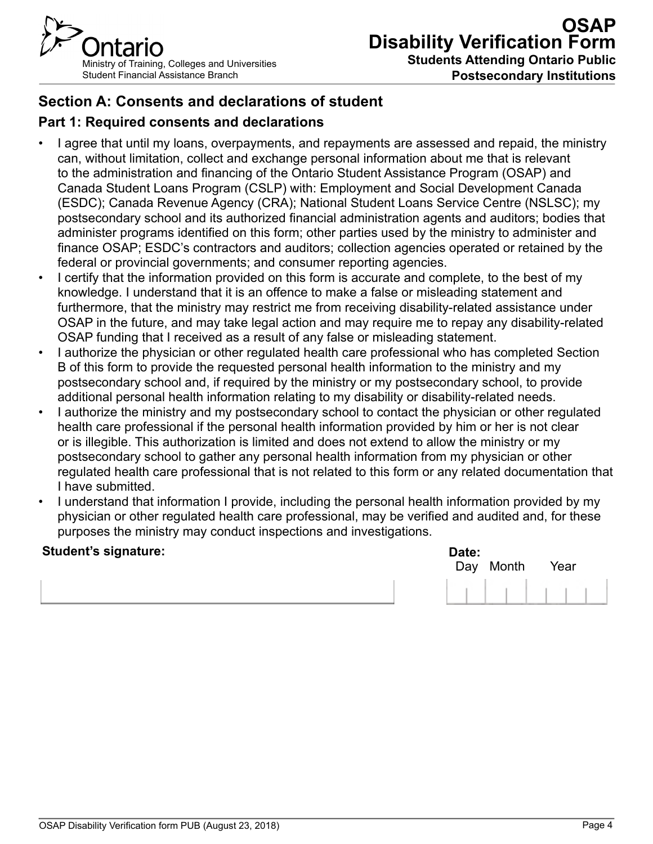

**Students Attending Ontario Public Postsecondary Institutions**

# **Section A: Consents and declarations of student**

## **Part 1: Required consents and declarations**

- I agree that until my loans, overpayments, and repayments are assessed and repaid, the ministry can, without limitation, collect and exchange personal information about me that is relevant to the administration and financing of the Ontario Student Assistance Program (OSAP) and Canada Student Loans Program (CSLP) with: Employment and Social Development Canada (ESDC); Canada Revenue Agency (CRA); National Student Loans Service Centre (NSLSC); my postsecondary school and its authorized financial administration agents and auditors; bodies that administer programs identified on this form; other parties used by the ministry to administer and finance OSAP; ESDC's contractors and auditors; collection agencies operated or retained by the federal or provincial governments; and consumer reporting agencies.
- I certify that the information provided on this form is accurate and complete, to the best of my knowledge. I understand that it is an offence to make a false or misleading statement and furthermore, that the ministry may restrict me from receiving disability-related assistance under OSAP in the future, and may take legal action and may require me to repay any disability-related OSAP funding that I received as a result of any false or misleading statement.
- I authorize the physician or other regulated health care professional who has completed Section B of this form to provide the requested personal health information to the ministry and my postsecondary school and, if required by the ministry or my postsecondary school, to provide additional personal health information relating to my disability or disability-related needs.
- I authorize the ministry and my postsecondary school to contact the physician or other regulated health care professional if the personal health information provided by him or her is not clear or is illegible. This authorization is limited and does not extend to allow the ministry or my postsecondary school to gather any personal health information from my physician or other regulated health care professional that is not related to this form or any related documentation that I have submitted.
- I understand that information I provide, including the personal health information provided by my physician or other regulated health care professional, may be verified and audited and, for these purposes the ministry may conduct inspections and investigations.

#### **Student's signature:**

| Date: | Day Month | Year |  |
|-------|-----------|------|--|
|       |           |      |  |

| OSAP Disability Verification form PUB (August 23, 2018) |        |
|---------------------------------------------------------|--------|
|                                                         | Page 4 |
|                                                         |        |
|                                                         |        |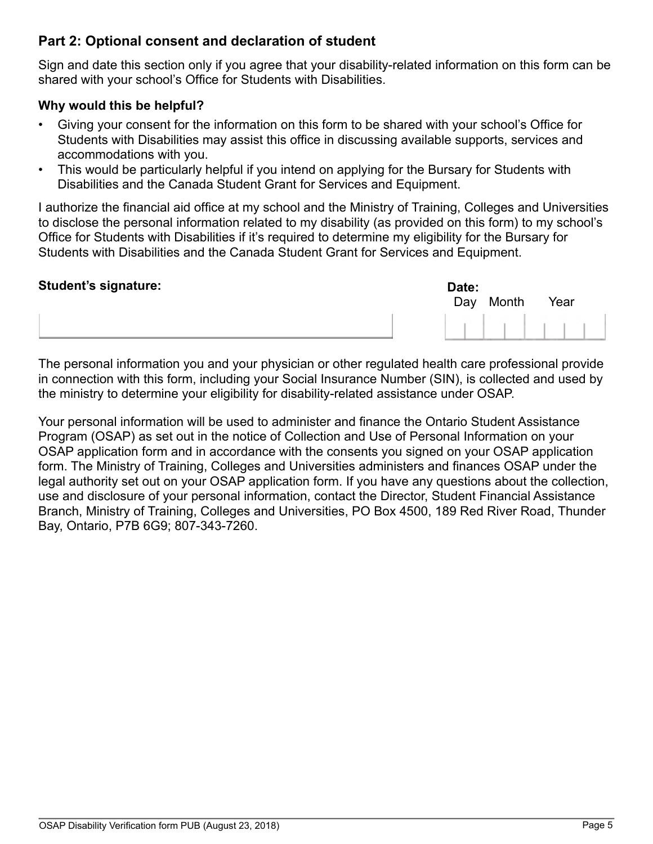### **Part 2: Optional consent and declaration of student**

Sign and date this section only if you agree that your disability-related information on this form can be shared with your school's Office for Students with Disabilities.

#### **Why would this be helpful?**

- Giving your consent for the information on this form to be shared with your school's Office for Students with Disabilities may assist this office in discussing available supports, services and accommodations with you.
- This would be particularly helpful if you intend on applying for the Bursary for Students with Disabilities and the Canada Student Grant for Services and Equipment.

I authorize the financial aid office at my school and the Ministry of Training, Colleges and Universities to disclose the personal information related to my disability (as provided on this form) to my school's Office for Students with Disabilities if it's required to determine my eligibility for the Bursary for Students with Disabilities and the Canada Student Grant for Services and Equipment.

#### **Student's signature:** Date: Date: Date: Date: Date: Date: Date: Date: Date: Date: Date: Date: Date: Date: Date: Date: Date: Date: Date: Date: Date: Date: Date: Date: Date: Date: Date: Date: Date: Date: Date: Date: Date: D



The personal information you and your physician or other regulated health care professional provide in connection with this form, including your Social Insurance Number (SIN), is collected and used by the ministry to determine your eligibility for disability-related assistance under OSAP.

Your personal information will be used to administer and finance the Ontario Student Assistance Program (OSAP) as set out in the notice of Collection and Use of Personal Information on your OSAP application form and in accordance with the consents you signed on your OSAP application form. The Ministry of Training, Colleges and Universities administers and finances OSAP under the legal authority set out on your OSAP application form. If you have any questions about the collection, use and disclosure of your personal information, contact the Director, Student Financial Assistance Branch, Ministry of Training, Colleges and Universities, PO Box 4500, 189 Red River Road, Thunder Bay, Ontario, P7B 6G9; 807-343-7260.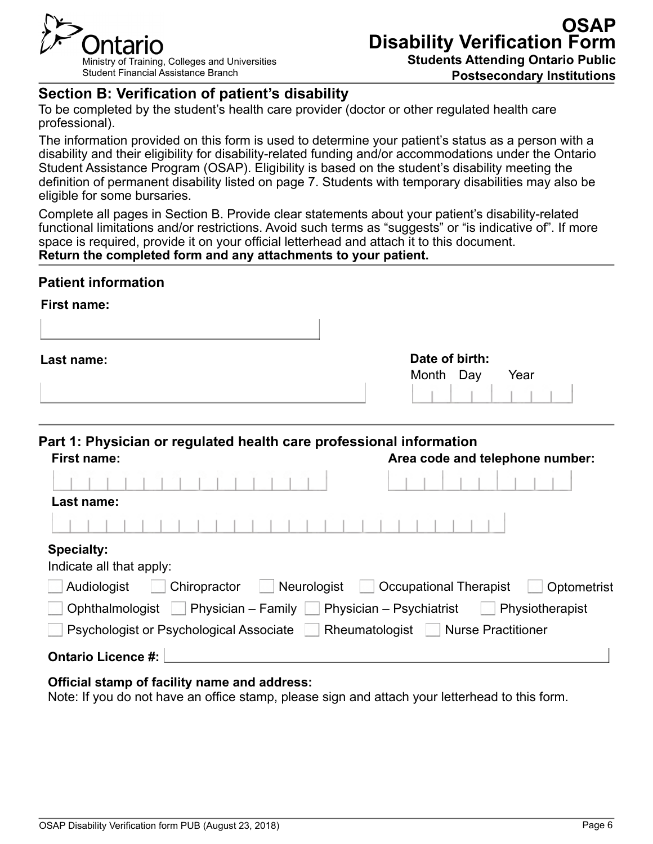

**Postsecondary Institutions**

## **Section B: Verification of patient's disability**

To be completed by the student's health care provider (doctor or other regulated health care professional).

The information provided on this form is used to determine your patient's status as a person with a disability and their eligibility for disability-related funding and/or accommodations under the Ontario Student Assistance Program (OSAP). Eligibility is based on the student's disability meeting the definition of permanent disability listed on page 7. Students with temporary disabilities may also be eligible for some bursaries.

Complete all pages in Section B. Provide clear statements about your patient's disability-related functional limitations and/or restrictions. Avoid such terms as "suggests" or "is indicative of". If more space is required, provide it on your official letterhead and attach it to this document. **Return the completed form and any attachments to your patient.**

#### **Patient information**

| First name: |                |      |
|-------------|----------------|------|
|             |                |      |
| Last name:  | Date of birth: |      |
|             | Month Day      | Year |
|             |                |      |

| Part 1: Physician or regulated health care professional information<br><b>First name:</b> | Area code and telephone number:              |
|-------------------------------------------------------------------------------------------|----------------------------------------------|
|                                                                                           |                                              |
| Last name:                                                                                |                                              |
|                                                                                           |                                              |
| <b>Specialty:</b><br>Indicate all that apply:                                             |                                              |
| Chiropractor<br>Neurologist<br>Audiologist                                                | <b>Occupational Therapist</b><br>Optometrist |
| Physician – Family $\Box$ Physician – Psychiatrist<br>Ophthalmologist                     | Physiotherapist                              |
| Psychologist or Psychological Associate Rheumatologist Nurse Practitioner                 |                                              |
| <b>Ontario Licence #:</b>                                                                 |                                              |

#### **Official stamp of facility name and address:**

Note: If you do not have an office stamp, please sign and attach your letterhead to this form.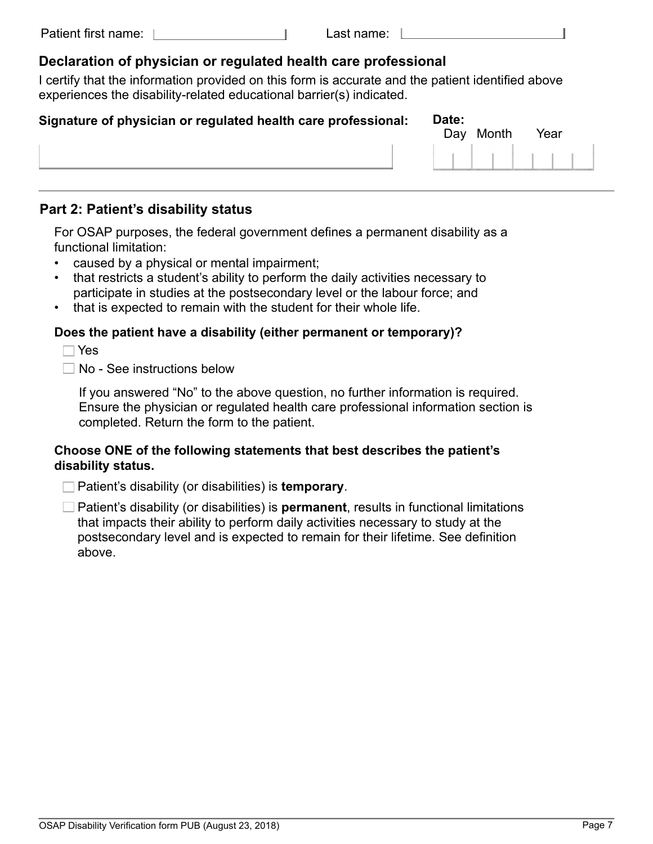#### **Declaration of physician or regulated health care professional**

I certify that the information provided on this form is accurate and the patient identified above experiences the disability-related educational barrier(s) indicated.

| Signature of physician or regulated health care professional: | Date: | Day Month | Year |  |
|---------------------------------------------------------------|-------|-----------|------|--|
|                                                               |       |           |      |  |
|                                                               |       |           |      |  |

#### **Part 2: Patient's disability status**

For OSAP purposes, the federal government defines a permanent disability as a functional limitation:

- caused by a physical or mental impairment;
- that restricts a student's ability to perform the daily activities necessary to participate in studies at the postsecondary level or the labour force; and
- that is expected to remain with the student for their whole life.

#### **Does the patient have a disability (either permanent or temporary)?**

Yes

 $\Box$  No - See instructions below

If you answered "No" to the above question, no further information is required. Ensure the physician or regulated health care professional information section is completed. Return the form to the patient.

#### **Choose ONE of the following statements that best describes the patient's disability status.**

Patient's disability (or disabilities) is **temporary**.

□ Patient's disability (or disabilities) is **permanent**, results in functional limitations that impacts their ability to perform daily activities necessary to study at the postsecondary level and is expected to remain for their lifetime. See definition above.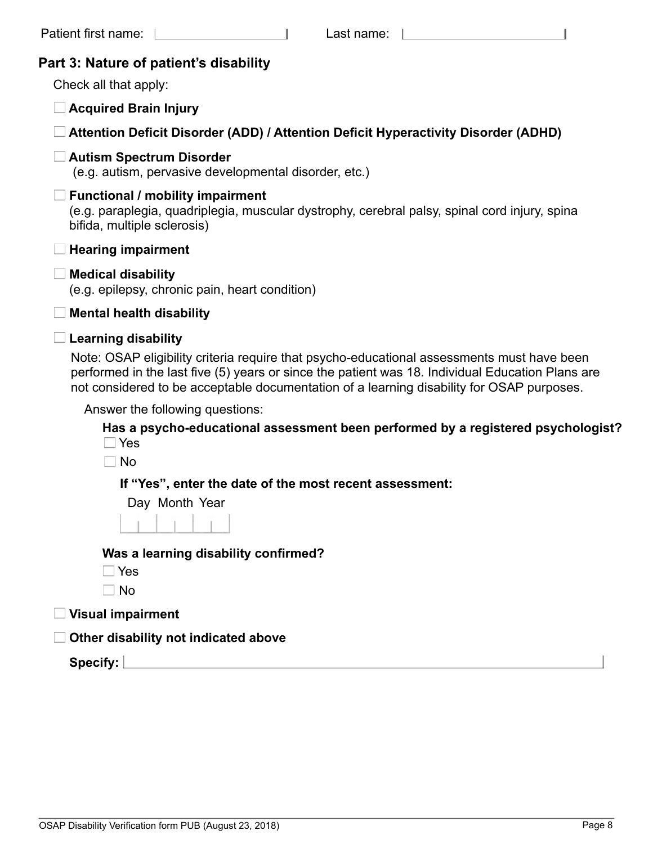|  |  |  | Part 3: Nature of patient's disability |
|--|--|--|----------------------------------------|
|--|--|--|----------------------------------------|

Check all that apply:

**Acquired Brain Injury**

**Attention Deficit Disorder (ADD) / Attention Deficit Hyperactivity Disorder (ADHD)**

#### **Autism Spectrum Disorder**

(e.g. autism, pervasive developmental disorder, etc.)

#### **Functional / mobility impairment**

(e.g. paraplegia, quadriplegia, muscular dystrophy, cerebral palsy, spinal cord injury, spina bifida, multiple sclerosis)

| l Hearing impairment |  |  |
|----------------------|--|--|
|                      |  |  |

#### **Medical disability**

(e.g. epilepsy, chronic pain, heart condition)

**Mental health disability**

#### **Learning disability**

Note: OSAP eligibility criteria require that psycho-educational assessments must have been performed in the last five (5) years or since the patient was 18. Individual Education Plans are not considered to be acceptable documentation of a learning disability for OSAP purposes.

Answer the following questions:

**Has a psycho-educational assessment been performed by a registered psychologist?**  Yes

 $\Box$  No

**If "Yes", enter the date of the most recent assessment:**

Day Month Year

**Was a learning disability confirmed?** 

- Yes
- $\Box$  No

**Visual impairment** 

**Other disability not indicated above**

**Specify:**